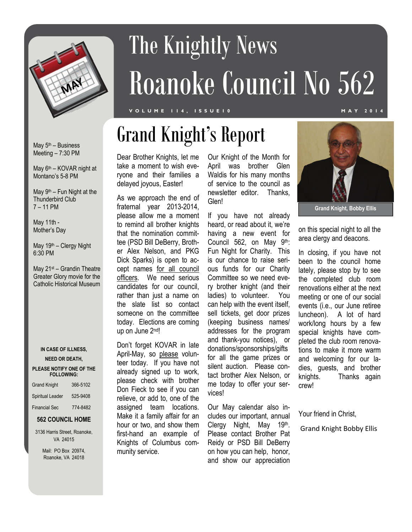

# The Knightly News Roanoke Council No 562

### **VOLUME 114, ISSUE10 MAY 2014**

May  $5<sup>th</sup>$  – Business Meeting – 7:30 PM

May 6<sup>th</sup> – KOVAR night at Montano's 5-8 PM

May  $9<sup>th</sup>$  – Fun Night at the Thunderbird Club 7 – 11 PM

May 11th - Mother's Day

May 19th – Clergy Night 6:30 PM

May 21st – Grandin Theatre Greater Glory movie for the Catholic Historical Museum

#### **IN CASE OF ILLNESS,**

#### **NEED OR DEATH,**

#### **PLEASE NOTIFY ONE OF THE FOLLOWING:**

| <b>Grand Knight</b>  | 366-5102 |
|----------------------|----------|
| Spiritual Leader     | 525-9408 |
| <b>Financial Sec</b> | 774-8482 |

#### **562 COUNCIL HOME**

3136 Harris Street, Roanoke, VA 24015

> Mail: PO Box 20974, Roanoke, VA 24018

### Dear Brother Knights, let me take a moment to wish everyone and their families a delayed joyous, Easter!

As we approach the end of fraternal year 2013-2014, please allow me a moment to remind all brother knights that the nomination committee (PSD Bill DeBerry, Brother Alex Nelson, and PKG Dick Sparks) is open to accept names for all council officers. We need serious candidates for our council, rather than just a name on the slate list so contact someone on the committee today. Elections are coming up on June 2nd!

Don't forget KOVAR in late April-May, so please volunteer today. If you have not already signed up to work, please check with brother Don Fieck to see if you can relieve, or add to, one of the assigned team locations. Make it a family affair for an hour or two, and show them first-hand an example of Knights of Columbus community service.

Our Knight of the Month for April was brother Glen Waldis for his many months of service to the council as newsletter editor. Thanks, Glen!

If you have not already heard, or read about it, we're having a new event for Council 562, on May 9th: Fun Night for Charity. This is our chance to raise serious funds for our Charity Committee so we need every brother knight (and their ladies) to volunteer. You can help with the event itself, sell tickets, get door prizes (keeping business names/ addresses for the program and thank-you notices), or donations/sponsorships/gifts for all the game prizes or silent auction. Please contact brother Alex Nelson, or me today to offer your services!

Our May calendar also includes our important, annual Clergy Night, May 19th. Please contact Brother Pat Reidy or PSD Bill DeBerry on how you can help, honor, and show our appreciation



**Grand Knight, Bobby Ellis** 

on this special night to all the area clergy and deacons.

In closing, if you have not been to the council home lately, please stop by to see the completed club room renovations either at the next meeting or one of our social events (i.e., our June retiree luncheon). A lot of hard work/long hours by a few special knights have completed the club room renovations to make it more warm and welcoming for our ladies, guests, and brother knights. Thanks again crew!

Your friend in Christ,

Grand Knight Bobby Ellis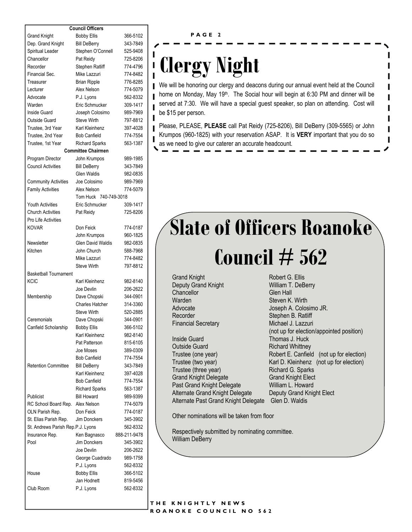| <b>Council Officers</b> |  |
|-------------------------|--|
|-------------------------|--|

|                                   | <b>Council Officers</b>   |              |
|-----------------------------------|---------------------------|--------------|
| <b>Grand Knight</b>               | <b>Bobby Ellis</b>        | 366-5102     |
| Dep. Grand Knight                 | <b>Bill DeBerry</b>       | 343-7849     |
| Spiritual Leader                  | Stephen O'Connell         | 525-9408     |
| Chancellor                        | Pat Reidy                 | 725-8206     |
| Recorder                          | Stephen Ratliff           | 774-4796     |
| Financial Sec.                    | Mike Lazzuri              | 774-8482     |
| Treasurer                         | <b>Brian Ripple</b>       | 776-8285     |
| Lecturer                          | Alex Nelson               | 774-5079     |
| Advocate                          | P.J. Lyons                | 562-8332     |
| Warden                            | Eric Schmucker            | 309-1417     |
| Inside Guard                      | Joseph Colosimo           | 989-7969     |
| <b>Outside Guard</b>              | Steve Wirth               | 797-8812     |
| Trustee, 3rd Year                 | Karl Kleinhenz            | 397-4028     |
| Trustee, 2nd Year                 | <b>Bob Canfield</b>       | 774-7554     |
| Trustee, 1st Year                 | <b>Richard Sparks</b>     | 563-1387     |
|                                   | <b>Committee Chairmen</b> |              |
| Program Director                  | John Krumpos              | 989-1985     |
| <b>Council Activities</b>         | <b>Bill DeBerry</b>       | 343-7849     |
|                                   | <b>Glen Waldis</b>        | 982-0835     |
| <b>Community Activities</b>       | Joe Colosimo              | 989-7969     |
| <b>Family Activities</b>          | Alex Nelson               | 774-5079     |
|                                   | Tom Huck 740-749-3018     |              |
| <b>Youth Activities</b>           | Eric Schmucker            | 309-1417     |
| <b>Church Activities</b>          | Pat Reidy                 | 725-8206     |
| Pro Life Activities               |                           |              |
| <b>KOVAR</b>                      | Don Feick                 | 774-0187     |
|                                   | John Krumpos              | 960-1825     |
| Newsletter                        | <b>Glen David Waldis</b>  | 982-0835     |
| Kitchen                           | John Church               | 588-7968     |
|                                   | Mike Lazzuri              | 774-8482     |
|                                   | <b>Steve Wirth</b>        | 797-8812     |
| <b>Basketball Tournament</b>      |                           |              |
| KCIC                              | Karl Kleinhenz            | 982-8140     |
|                                   | Joe Devlin                | 206-2622     |
|                                   | Dave Chopski              | 344-0901     |
| Membership                        | <b>Charles Hatcher</b>    |              |
|                                   | <b>Steve Wirth</b>        | 314-3360     |
|                                   |                           | 520-2885     |
| Ceremonials                       | Dave Chopski              | 344-0901     |
| Canfield Scholarship              | <b>Bobby Ellis</b>        | 366-5102     |
|                                   | Karl Kleinhenz            | 982-8140     |
|                                   | Pat Patterson             | 815-6105     |
|                                   | Joe Moses                 | 389-0309     |
|                                   | <b>Bob Canfield</b>       | 774-7554     |
| <b>Retention Committee</b>        | <b>Bill DeBerry</b>       | 343-7849     |
|                                   | Karl Kleinhenz            | 397-4028     |
|                                   | <b>Bob Canfield</b>       | 774-7554     |
|                                   | <b>Richard Sparks</b>     | 563-1387     |
| Publicist                         | <b>Bill Howard</b>        | 989-9399     |
| RC School Board Rep.              | Alex Nelson               | 774-5079     |
| OLN Parish Rep.                   | Don Feick                 | 774-0187     |
| St. Elias Parish Rep.             | Jim Donckers              | 345-3902     |
| St. Andrews Parish Rep.P.J. Lyons |                           | 562-8332     |
| Insurance Rep.                    | Ken Bagnasco              | 888-211-9478 |
| Pool                              | <b>Jim Donckers</b>       | 345-3902     |
|                                   | Joe Devlin                | 206-2622     |
|                                   | George Cuadrado           | 989-1758     |
|                                   | P.J. Lyons                | 562-8332     |
| House                             | <b>Bobby Ellis</b>        | 366-5102     |
|                                   | Jan Hodnett               | 819-5456     |
| Club Room                         | P.J. Lyons                | 562-8332     |
|                                   |                           |              |

#### **PAGE 2**

### **Clergy Night**

T

We will be honoring our clergy and deacons during our annual event held at the Council home on Monday, May 19<sup>th</sup>. The Social hour will begin at 6:30 PM and dinner will be served at 7:30. We will have a special guest speaker, so plan on attending. Cost will be \$15 per person.

Please, PLEASE, **PLEASE** call Pat Reidy (725-8206), Bill DeBerry (309-5565) or John Krumpos (960-1825) with your reservation ASAP. It is **VERY** important that you do so as we need to give our caterer an accurate headcount.

## **Slate of Officers Roanoke Council # 562**

Grand Knight **Robert G. Ellis** Deputy Grand Knight William T. DeBerry Chancellor Glen Hall Warden **Steven K. Wirth** Recorder Stephen B. Ratliff Financial Secretary Michael J. Lazzuri

Inside Guard Thomas J. Huck **Outside Guard Community Richard Whittney** Trustee (three year) Richard G. Sparks Grand Knight Delegate Grand Knight Elect Past Grand Knight Delegate William L. Howard Alternate Grand Knight Delegate Deputy Grand Knight Elect Alternate Past Grand Knight Delegate Glen D. Waldis

Advocate Joseph A. Colosimo JR. (not up for election/appointed position) Trustee (one year) Robert E. Canfield (not up for election) Trustee (two year) Karl D. Kleinhenz (not up for election)

Other nominations will be taken from floor

Respectively submitted by nominating committee. William DeBerry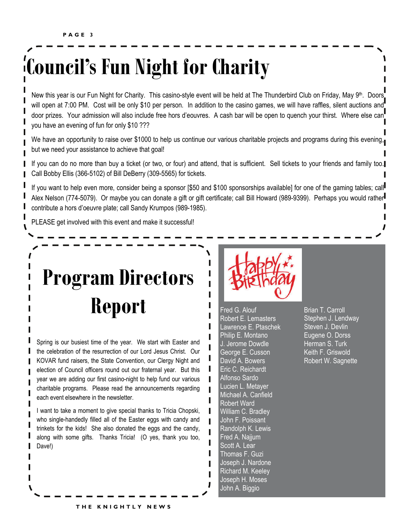## **Council's Fun Night for Charity**

New this year is our Fun Night for Charity. This casino-style event will be held at The Thunderbird Club on Friday, May 9<sup>th</sup>. Doors will open at 7:00 PM. Cost will be only \$10 per person. In addition to the casino games, we will have raffles, silent auctions and door prizes. Your admission will also include free hors d'eouvres. A cash bar will be open to quench your thirst. Where else can you have an evening of fun for only \$10 ???

We have an opportunity to raise over \$1000 to help us continue our various charitable projects and programs during this evening, but we need your assistance to achieve that goal!

If you can do no more than buy a ticket (or two, or four) and attend, that is sufficient. Sell tickets to your friends and family too. Call Bobby Ellis (366-5102) of Bill DeBerry (309-5565) for tickets.

If you want to help even more, consider being a sponsor [\$50 and \$100 sponsorships available] for one of the gaming tables; call Alex Nelson (774-5079). Or maybe you can donate a gift or gift certificate; call Bill Howard (989-9399). Perhaps you would rather contribute a hors d'oeuvre plate; call Sandy Krumpos (989-1985).

PLEASE get involved with this event and make it successful!

## **Program Directors Report**

Spring is our busiest time of the year. We start with Easter and the celebration of the resurrection of our Lord Jesus Christ. Our KOVAR fund raisers, the State Convention, our Clergy Night and election of Council officers round out our fraternal year. But this year we are adding our first casino-night to help fund our various charitable programs. Please read the announcements regarding each event elsewhere in the newsletter.

I want to take a moment to give special thanks to Tricia Chopski, who single-handedly filled all of the Easter eggs with candy and trinkets for the kids! She also donated the eggs and the candy, along with some gifts. Thanks Tricia! (O yes, thank you too, Dave!)



Fred G. Alouf Robert E. Lemasters Lawrence E. Ptaschek Philip E. Montano J. Jerome Dowdle George E. Cusson David A. Bowers Eric C. Reichardt Alfonso Sardo Lucien L. Metayer Michael A. Canfield Robert Ward William C. Bradley John F. Poissant Randolph K. Lewis Fred A. Najjum Scott A. Lear Thomas F. Guzi Joseph J. Nardone Richard M. Keeley Joseph H. Moses John A. Biggio

Brian T. Carroll Stephen J. Lendway Steven J. Devlin Eugene O. Dorss Herman S. Turk Keith F. Griswold Robert W. Sagnette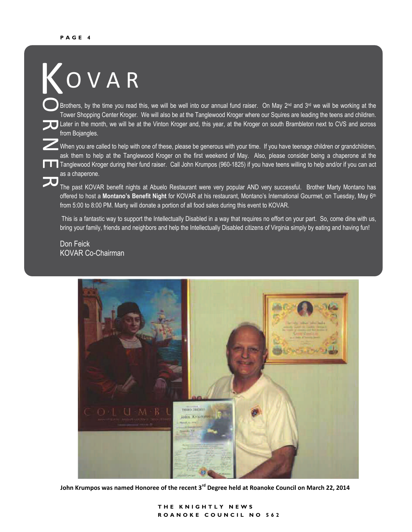### O V A R O K

Later in the month, we will be at the Vinton Kroger and, this year, at the Kroger on south Brambleton next to CVS and across Brothers, by the time you read this, we will be well into our annual fund raiser. On May 2<sup>nd</sup> and 3<sup>rd</sup> we will be working at the Tower Shopping Center Kroger. We will also be at the Tanglewood Kroger where our Squires are leading the teens and children. from Bojangles.

When you are called to help with one of these, please be generous with your time. If you have teenage children or grandchildren, E Tanglewood Kroger during their fund raiser. Call John Krumpos (960-1825) if you have teens willing to help and/or if you can act ask them to help at the Tanglewood Kroger on the first weekend of May. Also, please consider being a chaperone at the as a chaperone.

The past KOVAR benefit nights at Abuelo Restaurant were very popular AND very successful. Brother Marty Montano has offered to host a **Montano's Benefit Night** for KOVAR at his restaurant, Montano's International Gourmet, on Tuesday, May 6th from 5:00 to 8:00 PM. Marty will donate a portion of all food sales during this event to KOVAR.

 This is a fantastic way to support the Intellectually Disabled in a way that requires no effort on your part. So, come dine with us, bring your family, friends and neighbors and help the Intellectually Disabled citizens of Virginia simply by eating and having fun!

Don Feick KOVAR Co-Chairman



**John Krumpos was named Honoree of the recent 3rd Degree held at Roanoke Council on March 22, 2014**

**THE KNIGHTLY NEWS ROANOKE COUNCIL NO 562**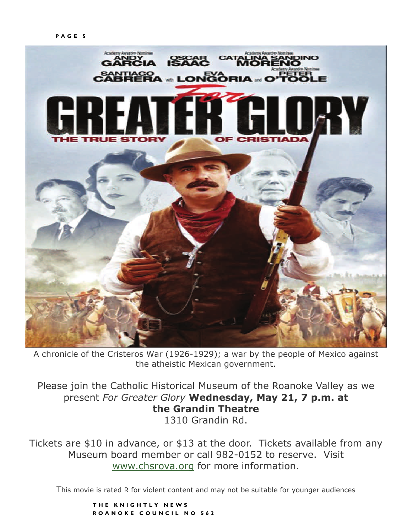

A chronicle of the Cristeros War (1926-1929); a war by the people of Mexico against the atheistic Mexican government.

Please join the Catholic Historical Museum of the Roanoke Valley as we present *For Greater Glory* **Wednesday, May 21, 7 p.m. at the Grandin Theatre**  1310 Grandin Rd.

Tickets are \$10 in advance, or \$13 at the door. Tickets available from any Museum board member or call 982-0152 to reserve. Visit [www.chsrova.org](http://www.chsrova.org) for more information.

This movie is rated R for violent content and may not be suitable for younger audiences

**THE KNIGHTLY NEWS ROANOKE COUNCIL NO 562**